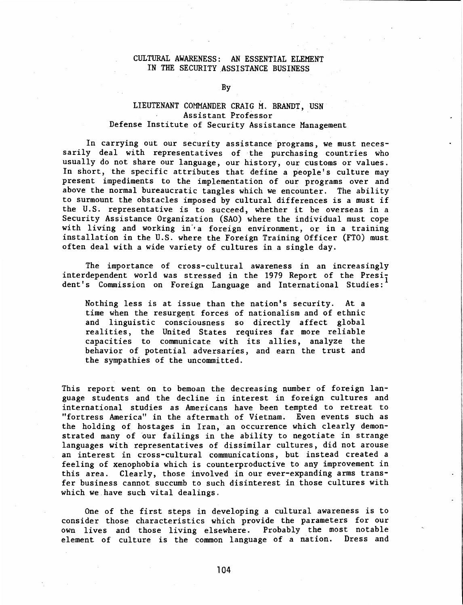## CULTURAL AWARENESS: AN ESSENTIAL ELEMENT IN THE SECURITY ASSISTANCE BUSINESS

By

## LIEUTENANT COMMANDER CRAIG M. BRANDT, USN Assistant Professor Defense Institute of Security Assistance Management

In carrying out our security assistance programs, we must necessarily deal with representatives of the purchasing countries who usually do not share our language, our history, our customs or values. In short, the specific attributes that define a people's culture may present impediments to the implementation of our programs over and above the normal bureaucratic tangles which we encounter. The ability to surmount the obstacles imposed by cultural differences is a must if the U.S. representative is to succeed, whether it be overseas in a Security Assistance Organization (SAO) where the individual must cope with living and working in'• a foreign environment, or in a training installation in the U.S. where the Foreign Training Officer (FTO) must often deal with a wide variety of cultures in a single day.

The importance of cross-cultural awareness in an increasingly interdependent world was stressed in the 1979 Report of the President's Commission on Foreign Language and International Studies:

Nothing less is at issue than the nation's security. At a time when the resurgent forces of nationalism and of ethnic and linguistic consciousness so directly affect global realities, the United States requires far more reliable capacities to communicate with its allies, analyze the behavior of potential adversaries, and earn the trust and the sympathies of the uncommitted.

This report went on to bemoan the decreasing number of foreign language students and the decline in interest in foreign cultures and international studies as Americans have been tempted to retreat to "fortress America" in the aftermath of Vietnam. Even events such as the holding of hostages in Iran, an occurrence which clearly demonstrated many of our failings in the ability to negotiate in strange languages with representatives of dissimilar cultures, did not arouse an interest in cross-cultural communications, but instead created a feeling of xenophobia which is counterproductive to any improvement in this area. Clearly, those involved in our ever-expanding arms transfer business cannot succumb to such disinterest in those cultures with which we have such vital dealings.

One of the first steps in developing a cultural awareness is to consider those characteristics which provide the parameters for our own lives and those living elsewhere. Probably the most notable element of culture is the common language of a nation. Dress and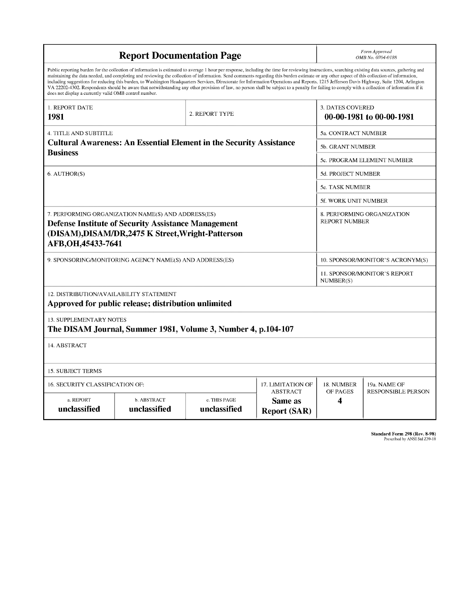| <b>Report Documentation Page</b>                                                                                                                                                                                                                                                                                                                                                                                                                                                                                                                                                                                                                                                                                                                                                                                                                                   |                             |                              |                                                          | Form Approved<br>OMB No. 0704-0188                 |                           |
|--------------------------------------------------------------------------------------------------------------------------------------------------------------------------------------------------------------------------------------------------------------------------------------------------------------------------------------------------------------------------------------------------------------------------------------------------------------------------------------------------------------------------------------------------------------------------------------------------------------------------------------------------------------------------------------------------------------------------------------------------------------------------------------------------------------------------------------------------------------------|-----------------------------|------------------------------|----------------------------------------------------------|----------------------------------------------------|---------------------------|
| Public reporting burden for the collection of information is estimated to average 1 hour per response, including the time for reviewing instructions, searching existing data sources, gathering and<br>maintaining the data needed, and completing and reviewing the collection of information. Send comments regarding this burden estimate or any other aspect of this collection of information,<br>including suggestions for reducing this burden, to Washington Headquarters Services, Directorate for Information Operations and Reports, 1215 Jefferson Davis Highway, Suite 1204, Arlington<br>VA 22202-4302. Respondents should be aware that notwithstanding any other provision of law, no person shall be subject to a penalty for failing to comply with a collection of information if it<br>does not display a currently valid OMB control number. |                             |                              |                                                          |                                                    |                           |
| <b>1. REPORT DATE</b><br>1981                                                                                                                                                                                                                                                                                                                                                                                                                                                                                                                                                                                                                                                                                                                                                                                                                                      | 2. REPORT TYPE              |                              | 3. DATES COVERED<br>00-00-1981 to 00-00-1981             |                                                    |                           |
| <b>4. TITLE AND SUBTITLE</b>                                                                                                                                                                                                                                                                                                                                                                                                                                                                                                                                                                                                                                                                                                                                                                                                                                       |                             |                              |                                                          | 5a. CONTRACT NUMBER                                |                           |
| <b>Cultural Awareness: An Essential Element in the Security Assistance</b><br><b>Business</b>                                                                                                                                                                                                                                                                                                                                                                                                                                                                                                                                                                                                                                                                                                                                                                      |                             |                              |                                                          | 5b. GRANT NUMBER                                   |                           |
|                                                                                                                                                                                                                                                                                                                                                                                                                                                                                                                                                                                                                                                                                                                                                                                                                                                                    |                             |                              |                                                          | 5c. PROGRAM ELEMENT NUMBER                         |                           |
| 6. AUTHOR(S)                                                                                                                                                                                                                                                                                                                                                                                                                                                                                                                                                                                                                                                                                                                                                                                                                                                       |                             |                              |                                                          | 5d. PROJECT NUMBER                                 |                           |
|                                                                                                                                                                                                                                                                                                                                                                                                                                                                                                                                                                                                                                                                                                                                                                                                                                                                    |                             |                              |                                                          | <b>5e. TASK NUMBER</b>                             |                           |
|                                                                                                                                                                                                                                                                                                                                                                                                                                                                                                                                                                                                                                                                                                                                                                                                                                                                    |                             |                              |                                                          | 5f. WORK UNIT NUMBER                               |                           |
| 7. PERFORMING ORGANIZATION NAME(S) AND ADDRESS(ES)<br><b>Defense Institute of Security Assistance Management</b><br>(DISAM), DISAM/DR, 2475 K Street, Wright-Patterson<br>AFB, OH, 45433-7641                                                                                                                                                                                                                                                                                                                                                                                                                                                                                                                                                                                                                                                                      |                             |                              |                                                          | 8. PERFORMING ORGANIZATION<br><b>REPORT NUMBER</b> |                           |
| 9. SPONSORING/MONITORING AGENCY NAME(S) AND ADDRESS(ES)                                                                                                                                                                                                                                                                                                                                                                                                                                                                                                                                                                                                                                                                                                                                                                                                            |                             |                              |                                                          | 10. SPONSOR/MONITOR'S ACRONYM(S)                   |                           |
|                                                                                                                                                                                                                                                                                                                                                                                                                                                                                                                                                                                                                                                                                                                                                                                                                                                                    |                             |                              |                                                          | 11. SPONSOR/MONITOR'S REPORT<br>NUMBER(S)          |                           |
| 12. DISTRIBUTION/AVAILABILITY STATEMENT<br>Approved for public release; distribution unlimited                                                                                                                                                                                                                                                                                                                                                                                                                                                                                                                                                                                                                                                                                                                                                                     |                             |                              |                                                          |                                                    |                           |
| <b>13. SUPPLEMENTARY NOTES</b><br>The DISAM Journal, Summer 1981, Volume 3, Number 4, p.104-107                                                                                                                                                                                                                                                                                                                                                                                                                                                                                                                                                                                                                                                                                                                                                                    |                             |                              |                                                          |                                                    |                           |
| 14. ABSTRACT                                                                                                                                                                                                                                                                                                                                                                                                                                                                                                                                                                                                                                                                                                                                                                                                                                                       |                             |                              |                                                          |                                                    |                           |
| <b>15. SUBJECT TERMS</b>                                                                                                                                                                                                                                                                                                                                                                                                                                                                                                                                                                                                                                                                                                                                                                                                                                           |                             |                              |                                                          |                                                    |                           |
| 16. SECURITY CLASSIFICATION OF:<br>17. LIMITATION OF                                                                                                                                                                                                                                                                                                                                                                                                                                                                                                                                                                                                                                                                                                                                                                                                               |                             |                              |                                                          | 18. NUMBER                                         | 19a. NAME OF              |
| a. REPORT<br>unclassified                                                                                                                                                                                                                                                                                                                                                                                                                                                                                                                                                                                                                                                                                                                                                                                                                                          | b. ABSTRACT<br>unclassified | c. THIS PAGE<br>unclassified | <b>ABSTRACT</b><br><b>Same</b> as<br><b>Report (SAR)</b> | OF PAGES<br>4                                      | <b>RESPONSIBLE PERSON</b> |

**Standard Form 298 (Rev. 8-98)** Prescribed by ANSI Std Z39-18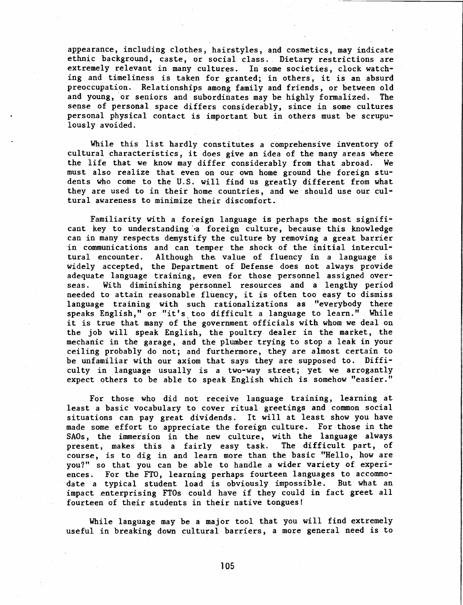appearance, including clothes, hairstyles, and cosmetics, may indicate ethnic background, caste, or social class. Dietary restrictions are extremely relevant in many cultures. In some societies, clock watching and timeliness is taken for granted; in others, it is an absurd preoccupation. Relationships among family and friends, or between old and young, or seniors and subordinates may be highly formalized. The sense of personal space differs considerably, since in some cultures personal physical contact is important but in others must be scrupulously avoided.

While this list hardly constitutes a comprehensive inventory of cultural characteristics, it does give an idea of the many areas where the life that we know may differ considerably from that abroad. We must also realize that even on our own home ground the foreign students who come to the U.S. will find us greatly different from what they are used to in their home countries, and we should use our cultural awareness to minimize their discomfort.

Familiarity with a foreign language is perhaps the most significant key to understanding a foreign culture, because this knowledge can in many respects demystify the culture by removing a great barrier in communications and can temper the shock of the initial intercultural encounter. Although the value of fluency in a language is widely accepted, the Department of Defense does not always provide adequate language training, even for those personnel assigned overseas. With diminishing personnel resources and a lengthy period needed to attain reasonable fluency, it is often too easy to dismiss language training with such rationalizations as "everybody there speaks English," or "it's too difficult a language to learn." While it is true that many of the government officials with whom we deal on the job will speak English, the poultry dealer in the market, the mechanic in the garage, and the plumber trying to stop a leak in your ceiling probably do not; and furthermore, they are almost certain to be unfamiliar with our axiom that says they are supposed to. Difficulty in language usually is a two-way street; yet we arrogantly expect others to be able to speak English which is somehow "easier."

For those who did not receive language training, learning at least a basic vocabulary to cover ritual greetings and common social situations can pay great dividends. It will at least show you have made some effort to appreciate the foreign culture. For those in the SAOs, the immersion in the new culture, with the language always present, makes this a fairly easy task. The difficult part, of course, is to dig in and learn more than the basic "Hello, how are you?" so that you can be able to handle a wider variety of experiences. For the FTO, learning perhaps fourteen languages to accommodate a typical student load is obviously impossible. But what an impact enterprising FTOs could have if they could in fact greet all fourteen of their students in their native tongues!

While language may be a major tool that you will find extremely useful in breaking down cultural barriers, a more general need is to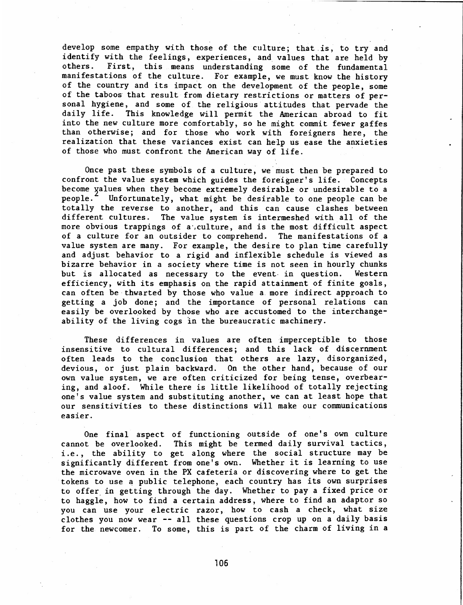develop some empathy with those of the culture; that is, to try and identify with the feelings, experiences, and values that are held by others. First, this means understanding some of the fundamental manifestations of the culture. For example, we must know the history of the country and its impact on the development of the people, some of the taboos that result from dietary restrictions or matters of personal hygiene, and some of the religious attitudes that pervade the daily life. This knowledge will permit the American abroad to fit into the new culture more comfortably, so he might commit fewer gaffes than otherwise; and for those who work with foreigners here, the realization that these variances exist can help us ease the anxieties of those who must confront the American way of life.

Once past these symbols of a culture, we must then be prepared to confront the value system which guides the foreigner's life. Concepts become yalues when they become extremely desirable or undesirable to a people. Infortunately, what might be desirable to one people can be Unfortunately, what might be desirable to one people can be totally the reverse to another, and this can cause clashes between different cultures. The value system is intermeshed with all of the more obvious trappings of a, culture, and is the most difficult aspect of a culture for an outsider to comprehend. The manifestations of a value system are many. For example, the desire to plan time carefully and adjust behavior to a rigid and inflexible schedule is viewed as bizarre behavior in a society where time is not seen in hourly chunks but is allocated as necessary to the event in question. Western efficiency, with its emphasis on the rapid attainment of finite goals, can often be thwarted by those who value a more indirect approach to getting a job done; and the importance of personal relations can easily be overlooked by those who are accustomed to the interchangeability of the living cogs in the bureaucratic machinery.

These differences in values are often imperceptible to those insensitive to cultural differences; and this lack of discernment often leads to the conclusion that others are lazy, disorganized, devious, or just plain backward. On the other hand, because of our own value system, we are often criticized for being tense, overbearing, and aloof. While there is little likelihood of totally rejecting one's value system and substituting another, we can at least hope that our sensitivities to these distinctions will make our communications easier.

One final aspect of functioning outside of one's own culture cannot be overlooked. This might be termed daily survival tactics, i.e., the ability to get along where the social structure may be significantly different from one's own. Whether it is learning to use the microwave oven in the PX cafeteria or discovering where to get the tokens to use a public telephone, each country has its own surprises to offer in getting through the day. Whether to pay a fixed price or to haggle, how to find a certain address, where to find an adaptor so you can use your electric razor, how to cash a check, what size clothes you now wear — all these questions crop up on <sup>a</sup> daily basis for the newcomer. To some, this is part of the charm of living in a